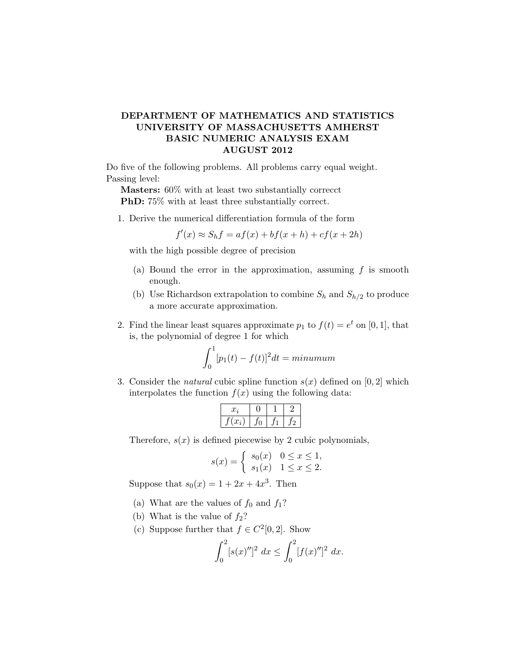## DEPARTMENT OF MATHEMATICS AND STATISTICS UNIVERSITY OF MASSACHUSETTS AMHERST BASIC NUMERIC ANALYSIS EXAM AUGUST 2012

Do five of the following problems. All problems carry equal weight. Passing level:

Masters: 60% with at least two substantially correcct PhD: 75% with at least three substantially correct.

1. Derive the numerical differentiation formula of the form

$$
f'(x) \approx S_h f = af(x) + bf(x+h) + cf(x+2h)
$$

with the high possible degree of precision

- (a) Bound the error in the approximation, assuming  $f$  is smooth enough.
- (b) Use Richardson extrapolation to combine  $S_h$  and  $S_{h/2}$  to produce a more accurate approximation.
- 2. Find the linear least squares approximate  $p_1$  to  $f(t) = e^t$  on [0, 1], that is, the polynomial of degree 1 for which

$$
\int_0^1 [p_1(t) - f(t)]^2 dt = \minumum
$$

3. Consider the *natural* cubic spline function  $s(x)$  defined on [0, 2] which interpolates the function  $f(x)$  using the following data:

$$
\begin{array}{|c|c|c|c|c|} \hline x_i & 0 & 1 & 2 \\ \hline f(x_i) & f_0 & f_1 & f_2 \\ \hline \end{array}
$$

Therefore,  $s(x)$  is defined piecewise by 2 cubic polynomials,

$$
s(x) = \begin{cases} s_0(x) & 0 \le x \le 1, \\ s_1(x) & 1 \le x \le 2. \end{cases}
$$

Suppose that  $s_0(x) = 1 + 2x + 4x^3$ . Then

- (a) What are the values of  $f_0$  and  $f_1$ ?
- (b) What is the value of  $f_2$ ?
- (c) Suppose further that  $f \in C^2[0,2]$ . Show

$$
\int_0^2 [s(x)']^2 \ dx \le \int_0^2 [f(x)']^2 \ dx.
$$